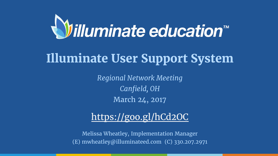*Regional Network Meeting Canfield, OH* March 24, 2017

## <https://goo.gl/hCd2OC>

Melissa Wheatley, Implementation Manager (E) mwheatley@illuminateed.com (C) 330.207.2971



# **Illuminate User Support System**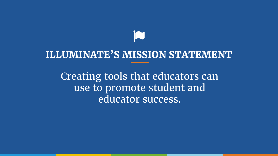# **ILLUMINATE'S MISSION STATEMENT**

Creating tools that educators can use to promote student and educator success.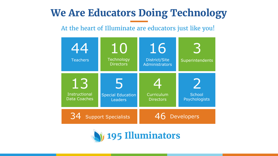## **We Are Educators Doing Technology**

## At the heart of Illuminate are educators just like you!

## **195 Illuminators**



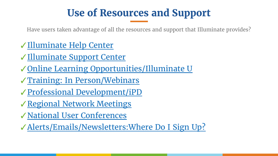# **Use of Resources and Support**

✓[Illuminate Help Center](https://illuminate.zendesk.com/hc/en-us) ✓[Illuminate Support Center](https://www.illuminateed.com/support/) ✓[Online Learning Opportunities/Illuminate U](https://www.illuminateed.com/resources/illuminate-u/) ✓[Training: In Person/Webinars](https://www.illuminateed.com/resources/training/) ✓[Professional Development/iPD](https://www.illuminateed.com/resources/professional-development/) ✓[Regional Network Meetings](https://www.illuminateed.com/resources/regional-meetings/) ✓[National User Conferences](https://www.illuminateed.com/resources/conference/) ✓[Alerts/Emails/Newsletters:Where Do I Sign Up?](http://go.illuminateed.com/preferences)

 $\mathcal{L}(\mathcal{L}(\mathcal{L}(\mathcal{L}(\mathcal{L}(\mathcal{L}(\mathcal{L}(\mathcal{L}(\mathcal{L}(\mathcal{L}(\mathcal{L}(\mathcal{L}(\mathcal{L}(\mathcal{L}(\mathcal{L}(\mathcal{L}(\mathcal{L}(\mathcal{L}(\mathcal{L}(\mathcal{L}(\mathcal{L}(\mathcal{L}(\mathcal{L}(\mathcal{L}(\mathcal{L}(\mathcal{L}(\mathcal{L}(\mathcal{L}(\mathcal{L}(\mathcal{L}(\mathcal{L}(\mathcal{L}(\mathcal{L}(\mathcal{L}(\mathcal{L}(\mathcal{L}(\mathcal{$ 

Have users taken advantage of all the resources and support that Illuminate provides?

,他们就是一个人的人,他们就是一个人的人,他们就是一个人的人,他们就是一个人的人,他们就是一个人的人,他们就是一个人的人,他们就是一个人的人,他们就是一个人的人的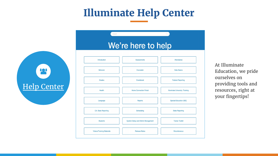





| here to help                   |                                        |
|--------------------------------|----------------------------------------|
| <b>Assessments</b>             | Attendance                             |
| Counselor                      | <b>Data Basics</b>                     |
| Gradebook                      | <b>Federal Reporting</b>               |
| <b>Home Connection Portal</b>  | <b>Illuminate University: Training</b> |
| <b>Reports</b>                 | <b>Special Education (ISE)</b>         |
| Scheduling                     | <b>State Reporting</b>                 |
| tem Setup and Admin Management | <b>Trainer Toolkit</b>                 |
| <b>Release Notes</b>           | <b>Miscellaneous</b>                   |

At Illuminate Education, we pride ourselves on providing tools and resources, right at your fingertips!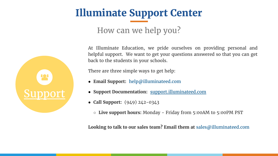# **Illuminate Support Center**



- How can we help you?
- At Illuminate Education, we pride ourselves on providing personal and helpful support. We want to get your questions answered so that you can get
- There are three simple ways to get help:

back to the students in your schools.

- **Email Support:** help@illuminateed.com
- **Support Documentation:** [support.illuminateed.com](http://support.illuminateed.com/)
- **Call Support:** (949) 242-0343
	- **Live support hours:** Monday Friday from 5:00AM to 5:00PM PST
- **Looking to talk to our sales team? Email them at** sales@illuminateed.com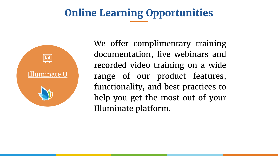# **Online Learning Opportunities**



We offer complimentary training documentation, live webinars and recorded video training on a wide range of our product features, functionality, and best practices to help you get the most out of your Illuminate platform.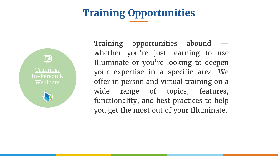# **Training Opportunities**

[Training:](https://www.illuminateed.com/resources/training/) [In-Person &](http://ppt/slides/slide23.xml) **[Webinars](https://www.illuminateed.com/resources/training/)** 





Training opportunities abound whether you're just learning to use Illuminate or you're looking to deepen your expertise in a specific area. We offer in person and virtual training on a wide range of topics, features, functionality, and best practices to help you get the most out of your Illuminate.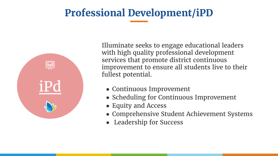# **Professional Development/iPD**



● Continuous Improvement • Scheduling for Continuous Improvement ● Equity and Access ● Comprehensive Student Achievement Systems **Leadership for Success** 

Illuminate seeks to engage educational leaders with high quality professional development services that promote district continuous improvement to ensure all students live to their fullest potential.

- 
- 
- 
- 
-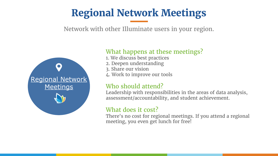# **Regional Network Meetings**

Network with other Illuminate users in your region.



### What happens at these meetings?

1. We discuss best practices

Who should attend? Leadership with responsibilities in the areas of data analysis, assessment/accountability, and student achievement.

2. Deepen understanding 3. Share our vision 4. Work to improve our tools

What does it cost? There's no cost for regional meetings. If you attend a regional meeting, you even get lunch for free!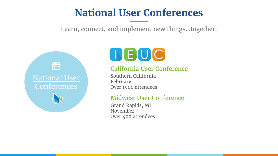# **National User Conferences** Learn, connect, and implement new things...together!





## California User Conference

February

- Southern California
	-
- Over 1900 attendees

### Midwest User Conference

November

- Grand Rapids, MI
	-
- Over 400 attendees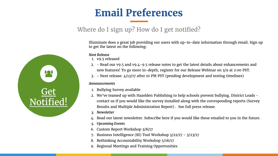# **Email Preferences**

## Where do I sign up? How do I get notified?



Illuminate does a great job providing our users with up-to-date information through email. Sign up to get the latest on the following:

### *Next Release*

- 1. v9.5 released
- 
- 

2. - Read our [v9.5](https://illuminate.zendesk.com/hc/en-us/articles/115000042514-Release-Notes-v9-5) and [v9.4-9.5](https://illuminate.zendesk.com/hc/en-us/articles/115000024873-Rolling-Release-v9-4-9-5-) release notes to get the latest details about enhancements and new features! To go more in-depth, register for our [Release Webinar](https://attendee.gotowebinar.com/register/2378926828628617985) on 3/9 at 2:00 PST. 3. - Next release: 4/13/17 after 10 PM PST (pending development and testing timelines)

### *Announcements*

2. We've teamed up with [Hazelden Publishing](http://www.hazelden.org/illuminate) to help schools prevent bullying. District Leads contact us if you would like the survey installed along with the corresponding reports ([Survey](https://illuminate.zendesk.com/hc/en-us/articles/114094250733-Olweus-Bullying-Survey-Results)  [Results](https://illuminate.zendesk.com/hc/en-us/articles/114094250733-Olweus-Bullying-Survey-Results) and [Multiple Administration Report\)](https://illuminate.zendesk.com/hc/en-us/articles/114094250753-Olweus-Bullying-Survey-Results-Comparing-Multiple-Administrations) . See full [press release.](https://www.illuminateed.com/news/illuminate-education-hazelden-publishing-team-help-schools-prevent-bullying/)

Read our latest [newsletter.](http://bit.ly/2hXyU9Y) Subscribe [here](http://go.illuminateed.com/preferences) if you would like these emailed to you in the future.

- 1. Bullying Survey available
- 
- *3. Newsletter*
- 
- *5. Upcoming Events*
- 6. [Custom Report Workshop](https://www.eventbrite.com/e/illuminate-education-workshop-custom-reports-bay-area-tickets-31516150655?utm-medium=discovery&utm-campaign=social&utm-content=attendeeshare&aff=escb&utm-source=cp&utm-term=eventcard) 3/8/17
- 
- 
- 

7. [Business Intelligence \(BI\) Tool Workshop](https://www.eventbrite.com/e/illuminate-education-workshop-norcal-san-jose-bi-tool-tickets-31773227579) 3/22/17 - 3/23/17 [Rethinking Accountability Workshop](https://www.eventbrite.com/e/illuminate-education-workshop-rethinking-accountability-may-2017-tickets-31048371515) 5/18/17 9. [Regional Meetings](https://www.illuminateed.com/resources/regional-meetings/) and [Training Opportunities](https://www.illuminateed.com/resources/training/)